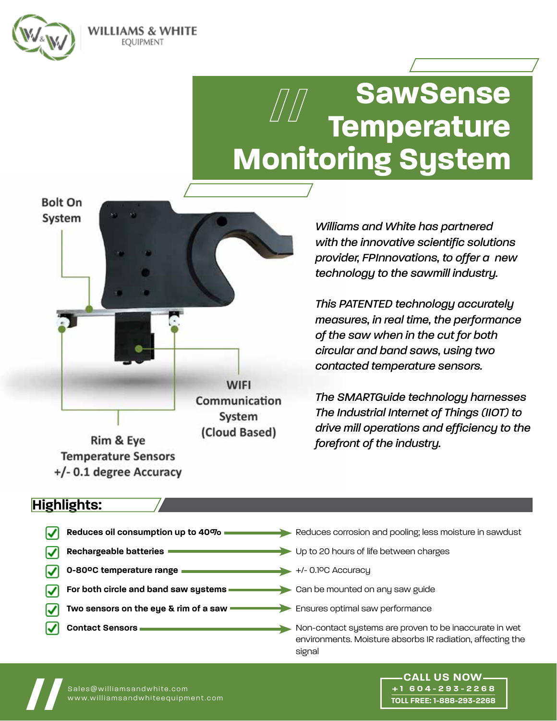

**Bolt On** System

WILLIAMS & WHITE EOUIPMENT

# **SawSense Temperature Monitoring System**

**WIFI** Communication System (Cloud Based) Rim & Eye

**Temperature Sensors** +/- 0.1 degree Accuracy

*Williams and White has partnered with the innovative scientific solutions provider, FPInnovations, to offer a new technology to the sawmill industry.* 

*This PATENTED technology accurately measures, in real time, the performance of the saw when in the cut for both circular and band saws, using two contacted temperature sensors.* 

*The SMARTGuide technology harnesses The Industrial Internet of Things (IIOT) to drive mill operations and efficiency to the forefront of the industry.*

> **+1 604-293-2268 TOLL FREE: 1-888-293-2268**

### **Highlights:**

| Reduces oil consumption up to 40% =           | Reduces corrosion and pooling; less moisture in sawdust                                                                        |
|-----------------------------------------------|--------------------------------------------------------------------------------------------------------------------------------|
| <b>Rechargeable batteries</b>                 | Up to 20 hours of life between charges                                                                                         |
| 0-80°C temperature range                      | +/- 0.1ºC Accuracu                                                                                                             |
| For both circle and band saw systems          | Can be mounted on any saw guide                                                                                                |
| Two sensors on the eye $\bar{a}$ rim of a saw | Ensures optimal saw performance                                                                                                |
| <b>Contact Sensors</b>                        | Non-contact systems are proven to be inaccurate in wet<br>environments. Moisture absorbs IR radiation, affecting the<br>signal |



Sales@williamsandwhite.com<br>www.williamsandwhiteequipment.com www.williamsandwhiteequipment.com **// CALL US NOW**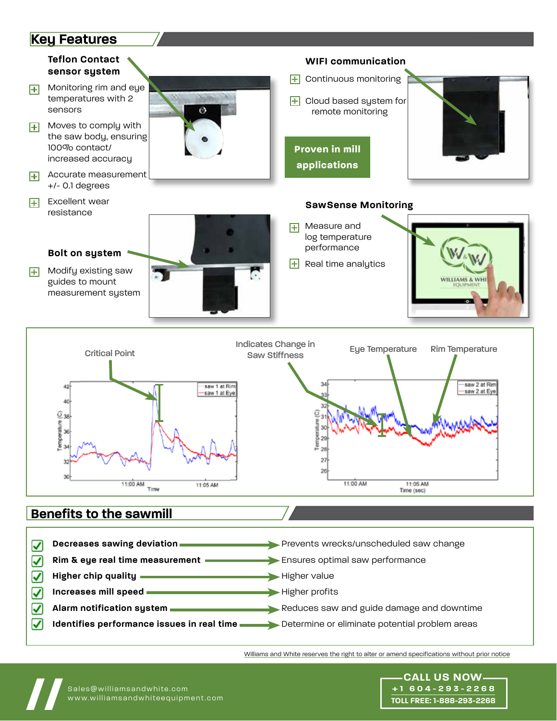### **Key Features**



- **Increases mill speed Higher profits** V
- V
- ☑
- 
- **Alarm notification system Reduces** saw and guide damage and downtime
	- **Identifies performance issues in real time <b>see Algebra** Determine or eliminate potential problem areas

Williams and White reserves the right to alter or amend specifications without prior notice

**+1 604-293-2268 TOLL FREE: 1-888-293-2268**



Sales@williamsandwhite.com<br>www.williamsandwhiteequipment.com www.williamsandwhiteequipment.com **// CALL US NOW**